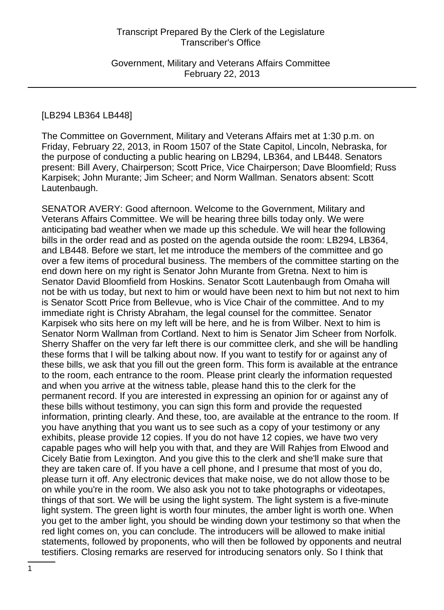Government, Military and Veterans Affairs Committee February 22, 2013

#### [LB294 LB364 LB448]

The Committee on Government, Military and Veterans Affairs met at 1:30 p.m. on Friday, February 22, 2013, in Room 1507 of the State Capitol, Lincoln, Nebraska, for the purpose of conducting a public hearing on LB294, LB364, and LB448. Senators present: Bill Avery, Chairperson; Scott Price, Vice Chairperson; Dave Bloomfield; Russ Karpisek; John Murante; Jim Scheer; and Norm Wallman. Senators absent: Scott Lautenbaugh.

SENATOR AVERY: Good afternoon. Welcome to the Government, Military and Veterans Affairs Committee. We will be hearing three bills today only. We were anticipating bad weather when we made up this schedule. We will hear the following bills in the order read and as posted on the agenda outside the room: LB294, LB364, and LB448. Before we start, let me introduce the members of the committee and go over a few items of procedural business. The members of the committee starting on the end down here on my right is Senator John Murante from Gretna. Next to him is Senator David Bloomfield from Hoskins. Senator Scott Lautenbaugh from Omaha will not be with us today, but next to him or would have been next to him but not next to him is Senator Scott Price from Bellevue, who is Vice Chair of the committee. And to my immediate right is Christy Abraham, the legal counsel for the committee. Senator Karpisek who sits here on my left will be here, and he is from Wilber. Next to him is Senator Norm Wallman from Cortland. Next to him is Senator Jim Scheer from Norfolk. Sherry Shaffer on the very far left there is our committee clerk, and she will be handling these forms that I will be talking about now. If you want to testify for or against any of these bills, we ask that you fill out the green form. This form is available at the entrance to the room, each entrance to the room. Please print clearly the information requested and when you arrive at the witness table, please hand this to the clerk for the permanent record. If you are interested in expressing an opinion for or against any of these bills without testimony, you can sign this form and provide the requested information, printing clearly. And these, too, are available at the entrance to the room. If you have anything that you want us to see such as a copy of your testimony or any exhibits, please provide 12 copies. If you do not have 12 copies, we have two very capable pages who will help you with that, and they are Will Rahjes from Elwood and Cicely Batie from Lexington. And you give this to the clerk and she'll make sure that they are taken care of. If you have a cell phone, and I presume that most of you do, please turn it off. Any electronic devices that make noise, we do not allow those to be on while you're in the room. We also ask you not to take photographs or videotapes, things of that sort. We will be using the light system. The light system is a five-minute light system. The green light is worth four minutes, the amber light is worth one. When you get to the amber light, you should be winding down your testimony so that when the red light comes on, you can conclude. The introducers will be allowed to make initial statements, followed by proponents, who will then be followed by opponents and neutral testifiers. Closing remarks are reserved for introducing senators only. So I think that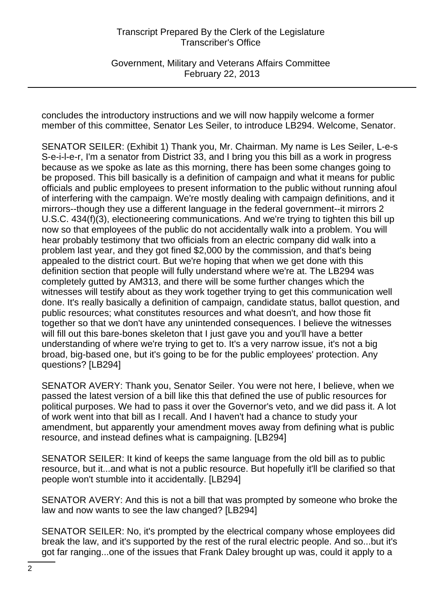Government, Military and Veterans Affairs Committee February 22, 2013

concludes the introductory instructions and we will now happily welcome a former member of this committee, Senator Les Seiler, to introduce LB294. Welcome, Senator.

SENATOR SEILER: (Exhibit 1) Thank you, Mr. Chairman. My name is Les Seiler, L-e-s S-e-i-l-e-r, I'm a senator from District 33, and I bring you this bill as a work in progress because as we spoke as late as this morning, there has been some changes going to be proposed. This bill basically is a definition of campaign and what it means for public officials and public employees to present information to the public without running afoul of interfering with the campaign. We're mostly dealing with campaign definitions, and it mirrors--though they use a different language in the federal government--it mirrors 2 U.S.C. 434(f)(3), electioneering communications. And we're trying to tighten this bill up now so that employees of the public do not accidentally walk into a problem. You will hear probably testimony that two officials from an electric company did walk into a problem last year, and they got fined \$2,000 by the commission, and that's being appealed to the district court. But we're hoping that when we get done with this definition section that people will fully understand where we're at. The LB294 was completely gutted by AM313, and there will be some further changes which the witnesses will testify about as they work together trying to get this communication well done. It's really basically a definition of campaign, candidate status, ballot question, and public resources; what constitutes resources and what doesn't, and how those fit together so that we don't have any unintended consequences. I believe the witnesses will fill out this bare-bones skeleton that I just gave you and you'll have a better understanding of where we're trying to get to. It's a very narrow issue, it's not a big broad, big-based one, but it's going to be for the public employees' protection. Any questions? [LB294]

SENATOR AVERY: Thank you, Senator Seiler. You were not here, I believe, when we passed the latest version of a bill like this that defined the use of public resources for political purposes. We had to pass it over the Governor's veto, and we did pass it. A lot of work went into that bill as I recall. And I haven't had a chance to study your amendment, but apparently your amendment moves away from defining what is public resource, and instead defines what is campaigning. [LB294]

SENATOR SEILER: It kind of keeps the same language from the old bill as to public resource, but it...and what is not a public resource. But hopefully it'll be clarified so that people won't stumble into it accidentally. [LB294]

SENATOR AVERY: And this is not a bill that was prompted by someone who broke the law and now wants to see the law changed? [LB294]

SENATOR SEILER: No, it's prompted by the electrical company whose employees did break the law, and it's supported by the rest of the rural electric people. And so...but it's got far ranging...one of the issues that Frank Daley brought up was, could it apply to a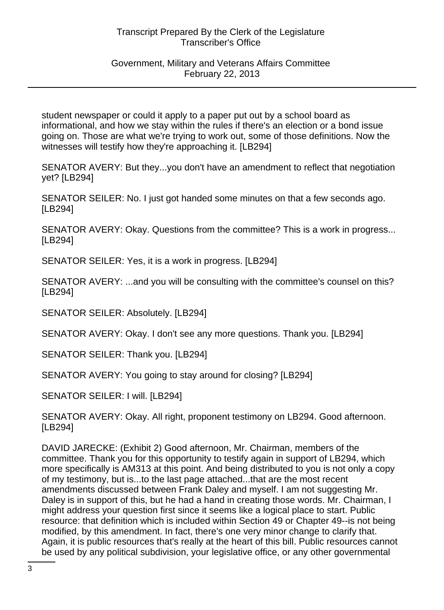## Government, Military and Veterans Affairs Committee February 22, 2013

student newspaper or could it apply to a paper put out by a school board as informational, and how we stay within the rules if there's an election or a bond issue going on. Those are what we're trying to work out, some of those definitions. Now the witnesses will testify how they're approaching it. [LB294]

SENATOR AVERY: But they...you don't have an amendment to reflect that negotiation yet? [LB294]

SENATOR SEILER: No. I just got handed some minutes on that a few seconds ago. [LB294]

SENATOR AVERY: Okay. Questions from the committee? This is a work in progress... [LB294]

SENATOR SEILER: Yes, it is a work in progress. [LB294]

SENATOR AVERY: ...and you will be consulting with the committee's counsel on this? [LB294]

SENATOR SEILER: Absolutely. [LB294]

SENATOR AVERY: Okay. I don't see any more questions. Thank you. [LB294]

SENATOR SEILER: Thank you. [LB294]

SENATOR AVERY: You going to stay around for closing? [LB294]

SENATOR SEILER: I will. [LB294]

SENATOR AVERY: Okay. All right, proponent testimony on LB294. Good afternoon. [LB294]

DAVID JARECKE: (Exhibit 2) Good afternoon, Mr. Chairman, members of the committee. Thank you for this opportunity to testify again in support of LB294, which more specifically is AM313 at this point. And being distributed to you is not only a copy of my testimony, but is...to the last page attached...that are the most recent amendments discussed between Frank Daley and myself. I am not suggesting Mr. Daley is in support of this, but he had a hand in creating those words. Mr. Chairman, I might address your question first since it seems like a logical place to start. Public resource: that definition which is included within Section 49 or Chapter 49--is not being modified, by this amendment. In fact, there's one very minor change to clarify that. Again, it is public resources that's really at the heart of this bill. Public resources cannot be used by any political subdivision, your legislative office, or any other governmental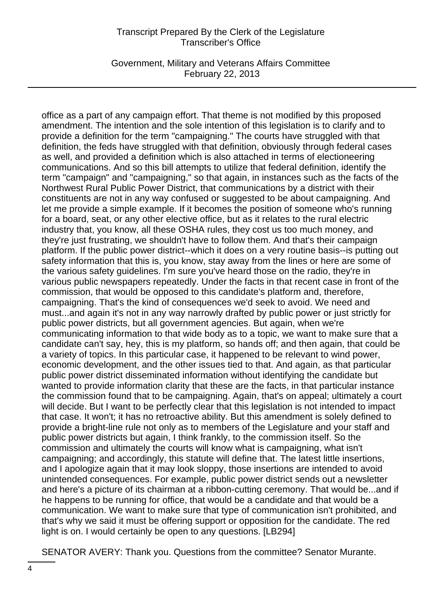Government, Military and Veterans Affairs Committee February 22, 2013

office as a part of any campaign effort. That theme is not modified by this proposed amendment. The intention and the sole intention of this legislation is to clarify and to provide a definition for the term "campaigning." The courts have struggled with that definition, the feds have struggled with that definition, obviously through federal cases as well, and provided a definition which is also attached in terms of electioneering communications. And so this bill attempts to utilize that federal definition, identify the term "campaign" and "campaigning," so that again, in instances such as the facts of the Northwest Rural Public Power District, that communications by a district with their constituents are not in any way confused or suggested to be about campaigning. And let me provide a simple example. If it becomes the position of someone who's running for a board, seat, or any other elective office, but as it relates to the rural electric industry that, you know, all these OSHA rules, they cost us too much money, and they're just frustrating, we shouldn't have to follow them. And that's their campaign platform. If the public power district--which it does on a very routine basis--is putting out safety information that this is, you know, stay away from the lines or here are some of the various safety guidelines. I'm sure you've heard those on the radio, they're in various public newspapers repeatedly. Under the facts in that recent case in front of the commission, that would be opposed to this candidate's platform and, therefore, campaigning. That's the kind of consequences we'd seek to avoid. We need and must...and again it's not in any way narrowly drafted by public power or just strictly for public power districts, but all government agencies. But again, when we're communicating information to that wide body as to a topic, we want to make sure that a candidate can't say, hey, this is my platform, so hands off; and then again, that could be a variety of topics. In this particular case, it happened to be relevant to wind power, economic development, and the other issues tied to that. And again, as that particular public power district disseminated information without identifying the candidate but wanted to provide information clarity that these are the facts, in that particular instance the commission found that to be campaigning. Again, that's on appeal; ultimately a court will decide. But I want to be perfectly clear that this legislation is not intended to impact that case. It won't; it has no retroactive ability. But this amendment is solely defined to provide a bright-line rule not only as to members of the Legislature and your staff and public power districts but again, I think frankly, to the commission itself. So the commission and ultimately the courts will know what is campaigning, what isn't campaigning; and accordingly, this statute will define that. The latest little insertions, and I apologize again that it may look sloppy, those insertions are intended to avoid unintended consequences. For example, public power district sends out a newsletter and here's a picture of its chairman at a ribbon-cutting ceremony. That would be...and if he happens to be running for office, that would be a candidate and that would be a communication. We want to make sure that type of communication isn't prohibited, and that's why we said it must be offering support or opposition for the candidate. The red light is on. I would certainly be open to any questions. [LB294]

SENATOR AVERY: Thank you. Questions from the committee? Senator Murante.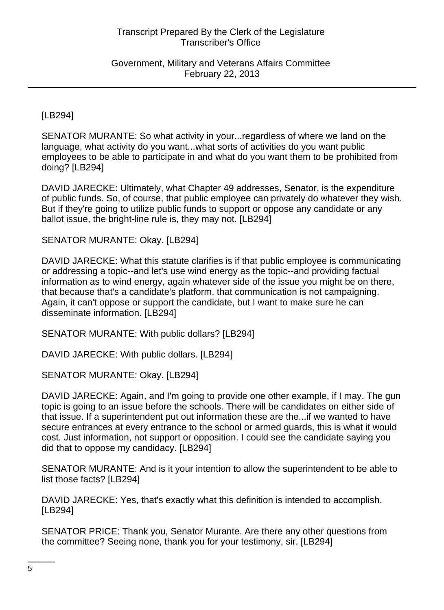Government, Military and Veterans Affairs Committee February 22, 2013

[LB294]

SENATOR MURANTE: So what activity in your...regardless of where we land on the language, what activity do you want...what sorts of activities do you want public employees to be able to participate in and what do you want them to be prohibited from doing? [LB294]

DAVID JARECKE: Ultimately, what Chapter 49 addresses, Senator, is the expenditure of public funds. So, of course, that public employee can privately do whatever they wish. But if they're going to utilize public funds to support or oppose any candidate or any ballot issue, the bright-line rule is, they may not. [LB294]

SENATOR MURANTE: Okay. [LB294]

DAVID JARECKE: What this statute clarifies is if that public employee is communicating or addressing a topic--and let's use wind energy as the topic--and providing factual information as to wind energy, again whatever side of the issue you might be on there, that because that's a candidate's platform, that communication is not campaigning. Again, it can't oppose or support the candidate, but I want to make sure he can disseminate information. [LB294]

SENATOR MURANTE: With public dollars? [LB294]

DAVID JARECKE: With public dollars. [LB294]

SENATOR MURANTE: Okay. [LB294]

DAVID JARECKE: Again, and I'm going to provide one other example, if I may. The gun topic is going to an issue before the schools. There will be candidates on either side of that issue. If a superintendent put out information these are the...if we wanted to have secure entrances at every entrance to the school or armed guards, this is what it would cost. Just information, not support or opposition. I could see the candidate saying you did that to oppose my candidacy. [LB294]

SENATOR MURANTE: And is it your intention to allow the superintendent to be able to list those facts? [LB294]

DAVID JARECKE: Yes, that's exactly what this definition is intended to accomplish. [LB294]

SENATOR PRICE: Thank you, Senator Murante. Are there any other questions from the committee? Seeing none, thank you for your testimony, sir. [LB294]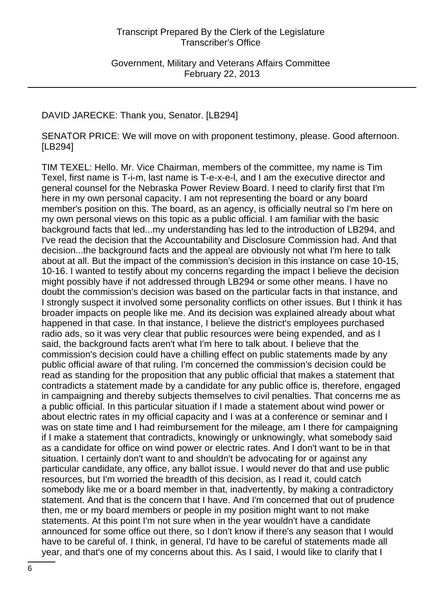Government, Military and Veterans Affairs Committee February 22, 2013

# DAVID JARECKE: Thank you, Senator. [LB294]

SENATOR PRICE: We will move on with proponent testimony, please. Good afternoon. [LB294]

TIM TEXEL: Hello. Mr. Vice Chairman, members of the committee, my name is Tim Texel, first name is T-i-m, last name is T-e-x-e-l, and I am the executive director and general counsel for the Nebraska Power Review Board. I need to clarify first that I'm here in my own personal capacity. I am not representing the board or any board member's position on this. The board, as an agency, is officially neutral so I'm here on my own personal views on this topic as a public official. I am familiar with the basic background facts that led...my understanding has led to the introduction of LB294, and I've read the decision that the Accountability and Disclosure Commission had. And that decision...the background facts and the appeal are obviously not what I'm here to talk about at all. But the impact of the commission's decision in this instance on case 10-15, 10-16. I wanted to testify about my concerns regarding the impact I believe the decision might possibly have if not addressed through LB294 or some other means. I have no doubt the commission's decision was based on the particular facts in that instance, and I strongly suspect it involved some personality conflicts on other issues. But I think it has broader impacts on people like me. And its decision was explained already about what happened in that case. In that instance, I believe the district's employees purchased radio ads, so it was very clear that public resources were being expended, and as I said, the background facts aren't what I'm here to talk about. I believe that the commission's decision could have a chilling effect on public statements made by any public official aware of that ruling. I'm concerned the commission's decision could be read as standing for the proposition that any public official that makes a statement that contradicts a statement made by a candidate for any public office is, therefore, engaged in campaigning and thereby subjects themselves to civil penalties. That concerns me as a public official. In this particular situation if I made a statement about wind power or about electric rates in my official capacity and I was at a conference or seminar and I was on state time and I had reimbursement for the mileage, am I there for campaigning if I make a statement that contradicts, knowingly or unknowingly, what somebody said as a candidate for office on wind power or electric rates. And I don't want to be in that situation. I certainly don't want to and shouldn't be advocating for or against any particular candidate, any office, any ballot issue. I would never do that and use public resources, but I'm worried the breadth of this decision, as I read it, could catch somebody like me or a board member in that, inadvertently, by making a contradictory statement. And that is the concern that I have. And I'm concerned that out of prudence then, me or my board members or people in my position might want to not make statements. At this point I'm not sure when in the year wouldn't have a candidate announced for some office out there, so I don't know if there's any season that I would have to be careful of. I think, in general, I'd have to be careful of statements made all year, and that's one of my concerns about this. As I said, I would like to clarify that I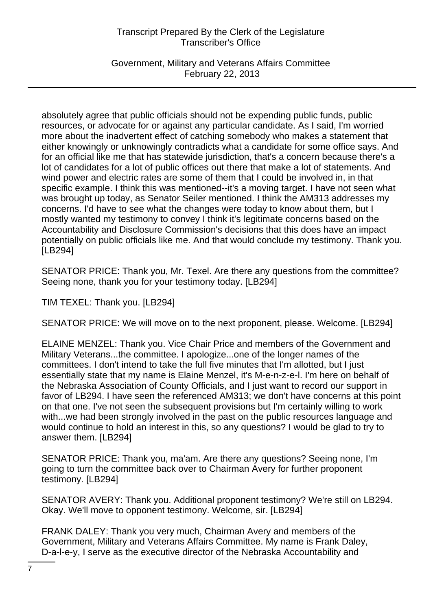Government, Military and Veterans Affairs Committee February 22, 2013

absolutely agree that public officials should not be expending public funds, public resources, or advocate for or against any particular candidate. As I said, I'm worried more about the inadvertent effect of catching somebody who makes a statement that either knowingly or unknowingly contradicts what a candidate for some office says. And for an official like me that has statewide jurisdiction, that's a concern because there's a lot of candidates for a lot of public offices out there that make a lot of statements. And wind power and electric rates are some of them that I could be involved in, in that specific example. I think this was mentioned--it's a moving target. I have not seen what was brought up today, as Senator Seiler mentioned. I think the AM313 addresses my concerns. I'd have to see what the changes were today to know about them, but I mostly wanted my testimony to convey I think it's legitimate concerns based on the Accountability and Disclosure Commission's decisions that this does have an impact potentially on public officials like me. And that would conclude my testimony. Thank you. [LB294]

SENATOR PRICE: Thank you, Mr. Texel. Are there any questions from the committee? Seeing none, thank you for your testimony today. [LB294]

TIM TEXEL: Thank you. [LB294]

SENATOR PRICE: We will move on to the next proponent, please. Welcome. [LB294]

ELAINE MENZEL: Thank you. Vice Chair Price and members of the Government and Military Veterans...the committee. I apologize...one of the longer names of the committees. I don't intend to take the full five minutes that I'm allotted, but I just essentially state that my name is Elaine Menzel, it's M-e-n-z-e-l. I'm here on behalf of the Nebraska Association of County Officials, and I just want to record our support in favor of LB294. I have seen the referenced AM313; we don't have concerns at this point on that one. I've not seen the subsequent provisions but I'm certainly willing to work with...we had been strongly involved in the past on the public resources language and would continue to hold an interest in this, so any questions? I would be glad to try to answer them. [LB294]

SENATOR PRICE: Thank you, ma'am. Are there any questions? Seeing none, I'm going to turn the committee back over to Chairman Avery for further proponent testimony. [LB294]

SENATOR AVERY: Thank you. Additional proponent testimony? We're still on LB294. Okay. We'll move to opponent testimony. Welcome, sir. [LB294]

FRANK DALEY: Thank you very much, Chairman Avery and members of the Government, Military and Veterans Affairs Committee. My name is Frank Daley, D-a-l-e-y, I serve as the executive director of the Nebraska Accountability and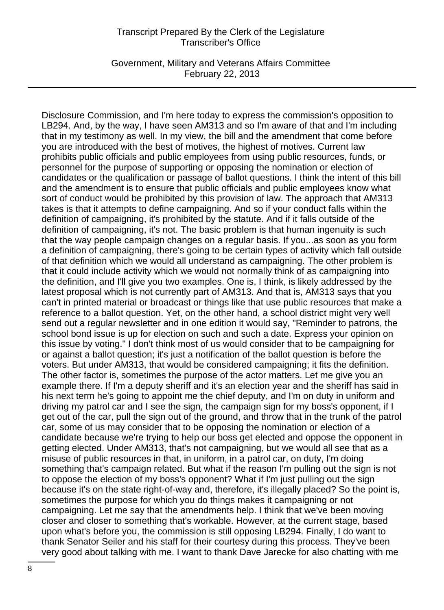Government, Military and Veterans Affairs Committee February 22, 2013

Disclosure Commission, and I'm here today to express the commission's opposition to LB294. And, by the way, I have seen AM313 and so I'm aware of that and I'm including that in my testimony as well. In my view, the bill and the amendment that come before you are introduced with the best of motives, the highest of motives. Current law prohibits public officials and public employees from using public resources, funds, or personnel for the purpose of supporting or opposing the nomination or election of candidates or the qualification or passage of ballot questions. I think the intent of this bill and the amendment is to ensure that public officials and public employees know what sort of conduct would be prohibited by this provision of law. The approach that AM313 takes is that it attempts to define campaigning. And so if your conduct falls within the definition of campaigning, it's prohibited by the statute. And if it falls outside of the definition of campaigning, it's not. The basic problem is that human ingenuity is such that the way people campaign changes on a regular basis. If you...as soon as you form a definition of campaigning, there's going to be certain types of activity which fall outside of that definition which we would all understand as campaigning. The other problem is that it could include activity which we would not normally think of as campaigning into the definition, and I'll give you two examples. One is, I think, is likely addressed by the latest proposal which is not currently part of AM313. And that is, AM313 says that you can't in printed material or broadcast or things like that use public resources that make a reference to a ballot question. Yet, on the other hand, a school district might very well send out a regular newsletter and in one edition it would say, "Reminder to patrons, the school bond issue is up for election on such and such a date. Express your opinion on this issue by voting." I don't think most of us would consider that to be campaigning for or against a ballot question; it's just a notification of the ballot question is before the voters. But under AM313, that would be considered campaigning; it fits the definition. The other factor is, sometimes the purpose of the actor matters. Let me give you an example there. If I'm a deputy sheriff and it's an election year and the sheriff has said in his next term he's going to appoint me the chief deputy, and I'm on duty in uniform and driving my patrol car and I see the sign, the campaign sign for my boss's opponent, if I get out of the car, pull the sign out of the ground, and throw that in the trunk of the patrol car, some of us may consider that to be opposing the nomination or election of a candidate because we're trying to help our boss get elected and oppose the opponent in getting elected. Under AM313, that's not campaigning, but we would all see that as a misuse of public resources in that, in uniform, in a patrol car, on duty, I'm doing something that's campaign related. But what if the reason I'm pulling out the sign is not to oppose the election of my boss's opponent? What if I'm just pulling out the sign because it's on the state right-of-way and, therefore, it's illegally placed? So the point is, sometimes the purpose for which you do things makes it campaigning or not campaigning. Let me say that the amendments help. I think that we've been moving closer and closer to something that's workable. However, at the current stage, based upon what's before you, the commission is still opposing LB294. Finally, I do want to thank Senator Seiler and his staff for their courtesy during this process. They've been very good about talking with me. I want to thank Dave Jarecke for also chatting with me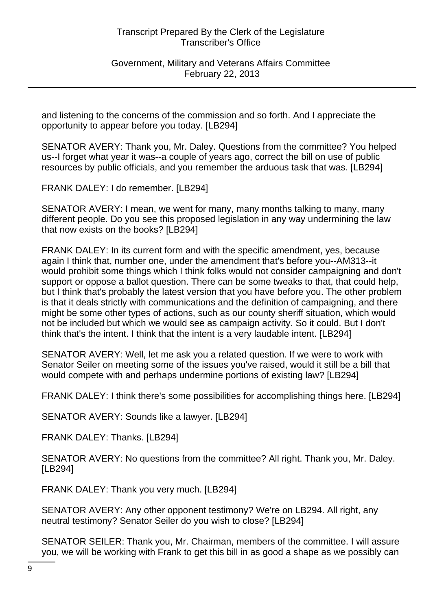Government, Military and Veterans Affairs Committee February 22, 2013

and listening to the concerns of the commission and so forth. And I appreciate the opportunity to appear before you today. [LB294]

SENATOR AVERY: Thank you, Mr. Daley. Questions from the committee? You helped us--I forget what year it was--a couple of years ago, correct the bill on use of public resources by public officials, and you remember the arduous task that was. [LB294]

FRANK DALEY: I do remember. [LB294]

SENATOR AVERY: I mean, we went for many, many months talking to many, many different people. Do you see this proposed legislation in any way undermining the law that now exists on the books? [LB294]

FRANK DALEY: In its current form and with the specific amendment, yes, because again I think that, number one, under the amendment that's before you--AM313--it would prohibit some things which I think folks would not consider campaigning and don't support or oppose a ballot question. There can be some tweaks to that, that could help, but I think that's probably the latest version that you have before you. The other problem is that it deals strictly with communications and the definition of campaigning, and there might be some other types of actions, such as our county sheriff situation, which would not be included but which we would see as campaign activity. So it could. But I don't think that's the intent. I think that the intent is a very laudable intent. [LB294]

SENATOR AVERY: Well, let me ask you a related question. If we were to work with Senator Seiler on meeting some of the issues you've raised, would it still be a bill that would compete with and perhaps undermine portions of existing law? [LB294]

FRANK DALEY: I think there's some possibilities for accomplishing things here. [LB294]

SENATOR AVERY: Sounds like a lawyer. [LB294]

FRANK DALEY: Thanks. [LB294]

SENATOR AVERY: No questions from the committee? All right. Thank you, Mr. Daley. [LB294]

FRANK DALEY: Thank you very much. [LB294]

SENATOR AVERY: Any other opponent testimony? We're on LB294. All right, any neutral testimony? Senator Seiler do you wish to close? [LB294]

SENATOR SEILER: Thank you, Mr. Chairman, members of the committee. I will assure you, we will be working with Frank to get this bill in as good a shape as we possibly can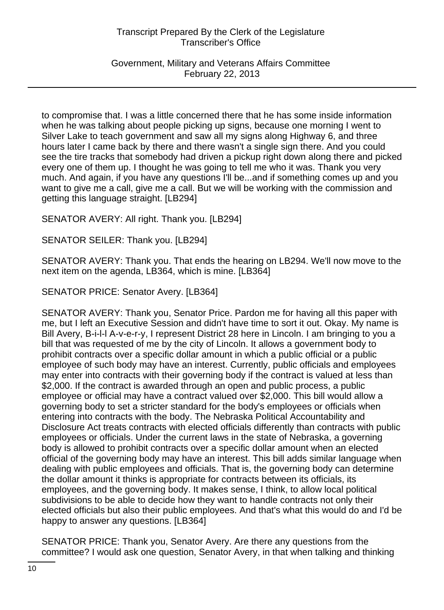Government, Military and Veterans Affairs Committee February 22, 2013

to compromise that. I was a little concerned there that he has some inside information when he was talking about people picking up signs, because one morning I went to Silver Lake to teach government and saw all my signs along Highway 6, and three hours later I came back by there and there wasn't a single sign there. And you could see the tire tracks that somebody had driven a pickup right down along there and picked every one of them up. I thought he was going to tell me who it was. Thank you very much. And again, if you have any questions I'll be...and if something comes up and you want to give me a call, give me a call. But we will be working with the commission and getting this language straight. [LB294]

SENATOR AVERY: All right. Thank you. [LB294]

SENATOR SEILER: Thank you. [LB294]

SENATOR AVERY: Thank you. That ends the hearing on LB294. We'll now move to the next item on the agenda, LB364, which is mine. [LB364]

SENATOR PRICE: Senator Avery. [LB364]

SENATOR AVERY: Thank you, Senator Price. Pardon me for having all this paper with me, but I left an Executive Session and didn't have time to sort it out. Okay. My name is Bill Avery, B-i-l-l A-v-e-r-y, I represent District 28 here in Lincoln. I am bringing to you a bill that was requested of me by the city of Lincoln. It allows a government body to prohibit contracts over a specific dollar amount in which a public official or a public employee of such body may have an interest. Currently, public officials and employees may enter into contracts with their governing body if the contract is valued at less than \$2,000. If the contract is awarded through an open and public process, a public employee or official may have a contract valued over \$2,000. This bill would allow a governing body to set a stricter standard for the body's employees or officials when entering into contracts with the body. The Nebraska Political Accountability and Disclosure Act treats contracts with elected officials differently than contracts with public employees or officials. Under the current laws in the state of Nebraska, a governing body is allowed to prohibit contracts over a specific dollar amount when an elected official of the governing body may have an interest. This bill adds similar language when dealing with public employees and officials. That is, the governing body can determine the dollar amount it thinks is appropriate for contracts between its officials, its employees, and the governing body. It makes sense, I think, to allow local political subdivisions to be able to decide how they want to handle contracts not only their elected officials but also their public employees. And that's what this would do and I'd be happy to answer any questions. [LB364]

SENATOR PRICE: Thank you, Senator Avery. Are there any questions from the committee? I would ask one question, Senator Avery, in that when talking and thinking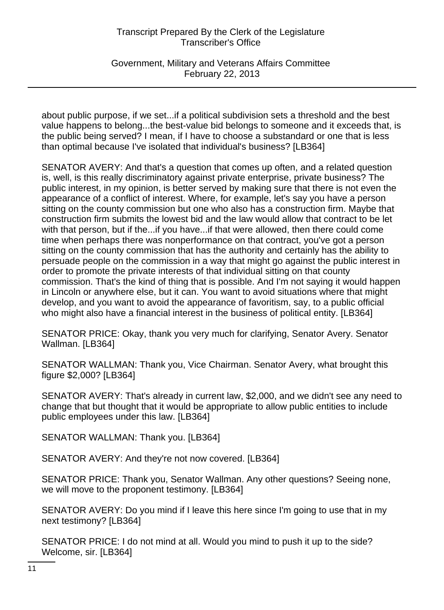Government, Military and Veterans Affairs Committee February 22, 2013

about public purpose, if we set...if a political subdivision sets a threshold and the best value happens to belong...the best-value bid belongs to someone and it exceeds that, is the public being served? I mean, if I have to choose a substandard or one that is less than optimal because I've isolated that individual's business? [LB364]

SENATOR AVERY: And that's a question that comes up often, and a related question is, well, is this really discriminatory against private enterprise, private business? The public interest, in my opinion, is better served by making sure that there is not even the appearance of a conflict of interest. Where, for example, let's say you have a person sitting on the county commission but one who also has a construction firm. Maybe that construction firm submits the lowest bid and the law would allow that contract to be let with that person, but if the...if you have...if that were allowed, then there could come time when perhaps there was nonperformance on that contract, you've got a person sitting on the county commission that has the authority and certainly has the ability to persuade people on the commission in a way that might go against the public interest in order to promote the private interests of that individual sitting on that county commission. That's the kind of thing that is possible. And I'm not saying it would happen in Lincoln or anywhere else, but it can. You want to avoid situations where that might develop, and you want to avoid the appearance of favoritism, say, to a public official who might also have a financial interest in the business of political entity. [LB364]

SENATOR PRICE: Okay, thank you very much for clarifying, Senator Avery. Senator Wallman. [LB364]

SENATOR WALLMAN: Thank you, Vice Chairman. Senator Avery, what brought this figure \$2,000? [LB364]

SENATOR AVERY: That's already in current law, \$2,000, and we didn't see any need to change that but thought that it would be appropriate to allow public entities to include public employees under this law. [LB364]

SENATOR WALLMAN: Thank you. [LB364]

SENATOR AVERY: And they're not now covered. [LB364]

SENATOR PRICE: Thank you, Senator Wallman. Any other questions? Seeing none, we will move to the proponent testimony. [LB364]

SENATOR AVERY: Do you mind if I leave this here since I'm going to use that in my next testimony? [LB364]

SENATOR PRICE: I do not mind at all. Would you mind to push it up to the side? Welcome, sir. [LB364]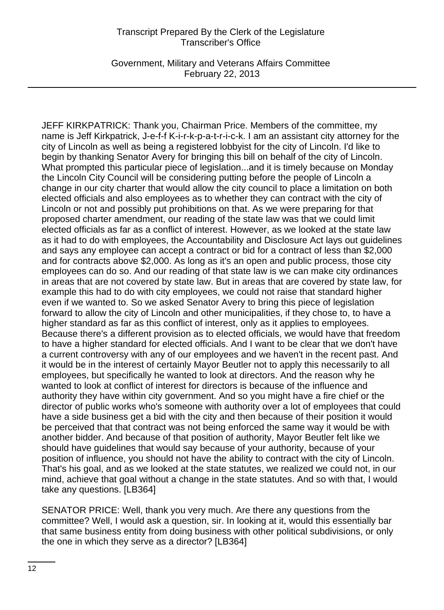Government, Military and Veterans Affairs Committee February 22, 2013

JEFF KIRKPATRICK: Thank you, Chairman Price. Members of the committee, my name is Jeff Kirkpatrick, J-e-f-f K-i-r-k-p-a-t-r-i-c-k. I am an assistant city attorney for the city of Lincoln as well as being a registered lobbyist for the city of Lincoln. I'd like to begin by thanking Senator Avery for bringing this bill on behalf of the city of Lincoln. What prompted this particular piece of legislation...and it is timely because on Monday the Lincoln City Council will be considering putting before the people of Lincoln a change in our city charter that would allow the city council to place a limitation on both elected officials and also employees as to whether they can contract with the city of Lincoln or not and possibly put prohibitions on that. As we were preparing for that proposed charter amendment, our reading of the state law was that we could limit elected officials as far as a conflict of interest. However, as we looked at the state law as it had to do with employees, the Accountability and Disclosure Act lays out guidelines and says any employee can accept a contract or bid for a contract of less than \$2,000 and for contracts above \$2,000. As long as it's an open and public process, those city employees can do so. And our reading of that state law is we can make city ordinances in areas that are not covered by state law. But in areas that are covered by state law, for example this had to do with city employees, we could not raise that standard higher even if we wanted to. So we asked Senator Avery to bring this piece of legislation forward to allow the city of Lincoln and other municipalities, if they chose to, to have a higher standard as far as this conflict of interest, only as it applies to employees. Because there's a different provision as to elected officials, we would have that freedom to have a higher standard for elected officials. And I want to be clear that we don't have a current controversy with any of our employees and we haven't in the recent past. And it would be in the interest of certainly Mayor Beutler not to apply this necessarily to all employees, but specifically he wanted to look at directors. And the reason why he wanted to look at conflict of interest for directors is because of the influence and authority they have within city government. And so you might have a fire chief or the director of public works who's someone with authority over a lot of employees that could have a side business get a bid with the city and then because of their position it would be perceived that that contract was not being enforced the same way it would be with another bidder. And because of that position of authority, Mayor Beutler felt like we should have guidelines that would say because of your authority, because of your position of influence, you should not have the ability to contract with the city of Lincoln. That's his goal, and as we looked at the state statutes, we realized we could not, in our mind, achieve that goal without a change in the state statutes. And so with that, I would take any questions. [LB364]

SENATOR PRICE: Well, thank you very much. Are there any questions from the committee? Well, I would ask a question, sir. In looking at it, would this essentially bar that same business entity from doing business with other political subdivisions, or only the one in which they serve as a director? [LB364]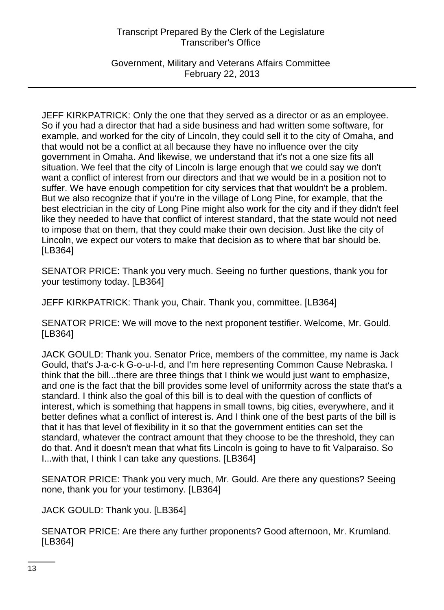Government, Military and Veterans Affairs Committee February 22, 2013

JEFF KIRKPATRICK: Only the one that they served as a director or as an employee. So if you had a director that had a side business and had written some software, for example, and worked for the city of Lincoln, they could sell it to the city of Omaha, and that would not be a conflict at all because they have no influence over the city government in Omaha. And likewise, we understand that it's not a one size fits all situation. We feel that the city of Lincoln is large enough that we could say we don't want a conflict of interest from our directors and that we would be in a position not to suffer. We have enough competition for city services that that wouldn't be a problem. But we also recognize that if you're in the village of Long Pine, for example, that the best electrician in the city of Long Pine might also work for the city and if they didn't feel like they needed to have that conflict of interest standard, that the state would not need to impose that on them, that they could make their own decision. Just like the city of Lincoln, we expect our voters to make that decision as to where that bar should be. [LB364]

SENATOR PRICE: Thank you very much. Seeing no further questions, thank you for your testimony today. [LB364]

JEFF KIRKPATRICK: Thank you, Chair. Thank you, committee. [LB364]

SENATOR PRICE: We will move to the next proponent testifier. Welcome, Mr. Gould. [LB364]

JACK GOULD: Thank you. Senator Price, members of the committee, my name is Jack Gould, that's J-a-c-k G-o-u-l-d, and I'm here representing Common Cause Nebraska. I think that the bill...there are three things that I think we would just want to emphasize, and one is the fact that the bill provides some level of uniformity across the state that's a standard. I think also the goal of this bill is to deal with the question of conflicts of interest, which is something that happens in small towns, big cities, everywhere, and it better defines what a conflict of interest is. And I think one of the best parts of the bill is that it has that level of flexibility in it so that the government entities can set the standard, whatever the contract amount that they choose to be the threshold, they can do that. And it doesn't mean that what fits Lincoln is going to have to fit Valparaiso. So I...with that, I think I can take any questions. [LB364]

SENATOR PRICE: Thank you very much, Mr. Gould. Are there any questions? Seeing none, thank you for your testimony. [LB364]

JACK GOULD: Thank you. [LB364]

SENATOR PRICE: Are there any further proponents? Good afternoon, Mr. Krumland. [LB364]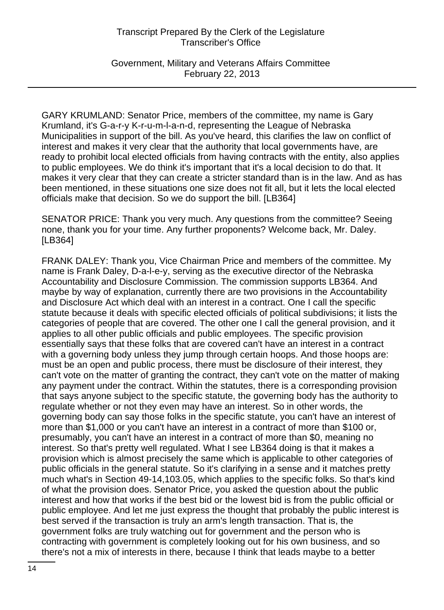Government, Military and Veterans Affairs Committee February 22, 2013

GARY KRUMLAND: Senator Price, members of the committee, my name is Gary Krumland, it's G-a-r-y K-r-u-m-l-a-n-d, representing the League of Nebraska Municipalities in support of the bill. As you've heard, this clarifies the law on conflict of interest and makes it very clear that the authority that local governments have, are ready to prohibit local elected officials from having contracts with the entity, also applies to public employees. We do think it's important that it's a local decision to do that. It makes it very clear that they can create a stricter standard than is in the law. And as has been mentioned, in these situations one size does not fit all, but it lets the local elected officials make that decision. So we do support the bill. [LB364]

SENATOR PRICE: Thank you very much. Any questions from the committee? Seeing none, thank you for your time. Any further proponents? Welcome back, Mr. Daley. [LB364]

FRANK DALEY: Thank you, Vice Chairman Price and members of the committee. My name is Frank Daley, D-a-l-e-y, serving as the executive director of the Nebraska Accountability and Disclosure Commission. The commission supports LB364. And maybe by way of explanation, currently there are two provisions in the Accountability and Disclosure Act which deal with an interest in a contract. One I call the specific statute because it deals with specific elected officials of political subdivisions; it lists the categories of people that are covered. The other one I call the general provision, and it applies to all other public officials and public employees. The specific provision essentially says that these folks that are covered can't have an interest in a contract with a governing body unless they jump through certain hoops. And those hoops are: must be an open and public process, there must be disclosure of their interest, they can't vote on the matter of granting the contract, they can't vote on the matter of making any payment under the contract. Within the statutes, there is a corresponding provision that says anyone subject to the specific statute, the governing body has the authority to regulate whether or not they even may have an interest. So in other words, the governing body can say those folks in the specific statute, you can't have an interest of more than \$1,000 or you can't have an interest in a contract of more than \$100 or, presumably, you can't have an interest in a contract of more than \$0, meaning no interest. So that's pretty well regulated. What I see LB364 doing is that it makes a provision which is almost precisely the same which is applicable to other categories of public officials in the general statute. So it's clarifying in a sense and it matches pretty much what's in Section 49-14,103.05, which applies to the specific folks. So that's kind of what the provision does. Senator Price, you asked the question about the public interest and how that works if the best bid or the lowest bid is from the public official or public employee. And let me just express the thought that probably the public interest is best served if the transaction is truly an arm's length transaction. That is, the government folks are truly watching out for government and the person who is contracting with government is completely looking out for his own business, and so there's not a mix of interests in there, because I think that leads maybe to a better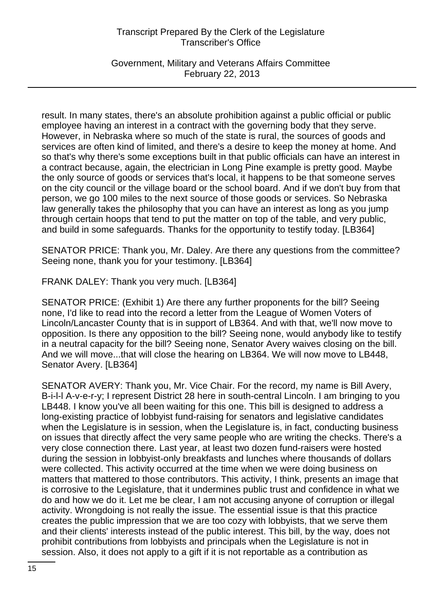Government, Military and Veterans Affairs Committee February 22, 2013

result. In many states, there's an absolute prohibition against a public official or public employee having an interest in a contract with the governing body that they serve. However, in Nebraska where so much of the state is rural, the sources of goods and services are often kind of limited, and there's a desire to keep the money at home. And so that's why there's some exceptions built in that public officials can have an interest in a contract because, again, the electrician in Long Pine example is pretty good. Maybe the only source of goods or services that's local, it happens to be that someone serves on the city council or the village board or the school board. And if we don't buy from that person, we go 100 miles to the next source of those goods or services. So Nebraska law generally takes the philosophy that you can have an interest as long as you jump through certain hoops that tend to put the matter on top of the table, and very public, and build in some safeguards. Thanks for the opportunity to testify today. [LB364]

SENATOR PRICE: Thank you, Mr. Daley. Are there any questions from the committee? Seeing none, thank you for your testimony. [LB364]

FRANK DALEY: Thank you very much. [LB364]

SENATOR PRICE: (Exhibit 1) Are there any further proponents for the bill? Seeing none, I'd like to read into the record a letter from the League of Women Voters of Lincoln/Lancaster County that is in support of LB364. And with that, we'll now move to opposition. Is there any opposition to the bill? Seeing none, would anybody like to testify in a neutral capacity for the bill? Seeing none, Senator Avery waives closing on the bill. And we will move...that will close the hearing on LB364. We will now move to LB448, Senator Avery. [LB364]

SENATOR AVERY: Thank you, Mr. Vice Chair. For the record, my name is Bill Avery, B-i-l-l A-v-e-r-y; I represent District 28 here in south-central Lincoln. I am bringing to you LB448. I know you've all been waiting for this one. This bill is designed to address a long-existing practice of lobbyist fund-raising for senators and legislative candidates when the Legislature is in session, when the Legislature is, in fact, conducting business on issues that directly affect the very same people who are writing the checks. There's a very close connection there. Last year, at least two dozen fund-raisers were hosted during the session in lobbyist-only breakfasts and lunches where thousands of dollars were collected. This activity occurred at the time when we were doing business on matters that mattered to those contributors. This activity, I think, presents an image that is corrosive to the Legislature, that it undermines public trust and confidence in what we do and how we do it. Let me be clear, I am not accusing anyone of corruption or illegal activity. Wrongdoing is not really the issue. The essential issue is that this practice creates the public impression that we are too cozy with lobbyists, that we serve them and their clients' interests instead of the public interest. This bill, by the way, does not prohibit contributions from lobbyists and principals when the Legislature is not in session. Also, it does not apply to a gift if it is not reportable as a contribution as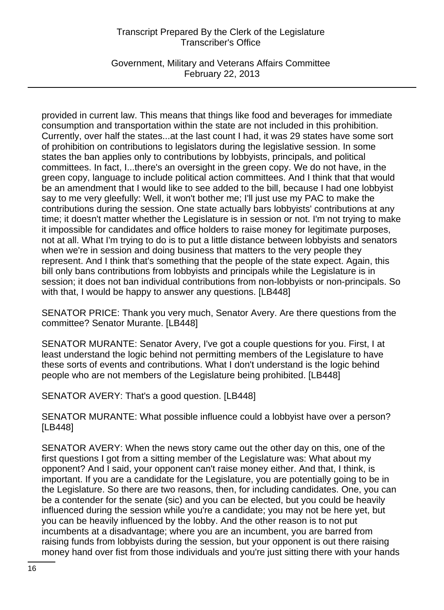Government, Military and Veterans Affairs Committee February 22, 2013

provided in current law. This means that things like food and beverages for immediate consumption and transportation within the state are not included in this prohibition. Currently, over half the states...at the last count I had, it was 29 states have some sort of prohibition on contributions to legislators during the legislative session. In some states the ban applies only to contributions by lobbyists, principals, and political committees. In fact, I...there's an oversight in the green copy. We do not have, in the green copy, language to include political action committees. And I think that that would be an amendment that I would like to see added to the bill, because I had one lobbyist say to me very gleefully: Well, it won't bother me; I'll just use my PAC to make the contributions during the session. One state actually bars lobbyists' contributions at any time; it doesn't matter whether the Legislature is in session or not. I'm not trying to make it impossible for candidates and office holders to raise money for legitimate purposes, not at all. What I'm trying to do is to put a little distance between lobbyists and senators when we're in session and doing business that matters to the very people they represent. And I think that's something that the people of the state expect. Again, this bill only bans contributions from lobbyists and principals while the Legislature is in session; it does not ban individual contributions from non-lobbyists or non-principals. So with that, I would be happy to answer any questions. [LB448]

SENATOR PRICE: Thank you very much, Senator Avery. Are there questions from the committee? Senator Murante. [LB448]

SENATOR MURANTE: Senator Avery, I've got a couple questions for you. First, I at least understand the logic behind not permitting members of the Legislature to have these sorts of events and contributions. What I don't understand is the logic behind people who are not members of the Legislature being prohibited. [LB448]

SENATOR AVERY: That's a good question. [LB448]

SENATOR MURANTE: What possible influence could a lobbyist have over a person? [LB448]

SENATOR AVERY: When the news story came out the other day on this, one of the first questions I got from a sitting member of the Legislature was: What about my opponent? And I said, your opponent can't raise money either. And that, I think, is important. If you are a candidate for the Legislature, you are potentially going to be in the Legislature. So there are two reasons, then, for including candidates. One, you can be a contender for the senate (sic) and you can be elected, but you could be heavily influenced during the session while you're a candidate; you may not be here yet, but you can be heavily influenced by the lobby. And the other reason is to not put incumbents at a disadvantage; where you are an incumbent, you are barred from raising funds from lobbyists during the session, but your opponent is out there raising money hand over fist from those individuals and you're just sitting there with your hands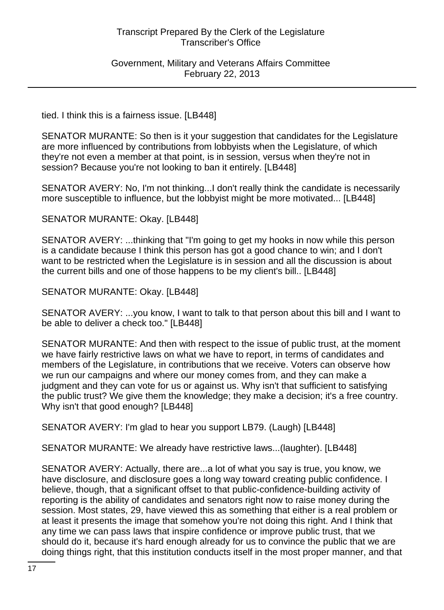Government, Military and Veterans Affairs Committee February 22, 2013

tied. I think this is a fairness issue. [LB448]

SENATOR MURANTE: So then is it your suggestion that candidates for the Legislature are more influenced by contributions from lobbyists when the Legislature, of which they're not even a member at that point, is in session, versus when they're not in session? Because you're not looking to ban it entirely. [LB448]

SENATOR AVERY: No, I'm not thinking...I don't really think the candidate is necessarily more susceptible to influence, but the lobbyist might be more motivated... [LB448]

SENATOR MURANTE: Okay. [LB448]

SENATOR AVERY: ...thinking that "I'm going to get my hooks in now while this person is a candidate because I think this person has got a good chance to win; and I don't want to be restricted when the Legislature is in session and all the discussion is about the current bills and one of those happens to be my client's bill.. [LB448]

SENATOR MURANTE: Okay. [LB448]

SENATOR AVERY: ...you know, I want to talk to that person about this bill and I want to be able to deliver a check too." [LB448]

SENATOR MURANTE: And then with respect to the issue of public trust, at the moment we have fairly restrictive laws on what we have to report, in terms of candidates and members of the Legislature, in contributions that we receive. Voters can observe how we run our campaigns and where our money comes from, and they can make a judgment and they can vote for us or against us. Why isn't that sufficient to satisfying the public trust? We give them the knowledge; they make a decision; it's a free country. Why isn't that good enough? [LB448]

SENATOR AVERY: I'm glad to hear you support LB79. (Laugh) [LB448]

SENATOR MURANTE: We already have restrictive laws...(laughter). [LB448]

SENATOR AVERY: Actually, there are...a lot of what you say is true, you know, we have disclosure, and disclosure goes a long way toward creating public confidence. I believe, though, that a significant offset to that public-confidence-building activity of reporting is the ability of candidates and senators right now to raise money during the session. Most states, 29, have viewed this as something that either is a real problem or at least it presents the image that somehow you're not doing this right. And I think that any time we can pass laws that inspire confidence or improve public trust, that we should do it, because it's hard enough already for us to convince the public that we are doing things right, that this institution conducts itself in the most proper manner, and that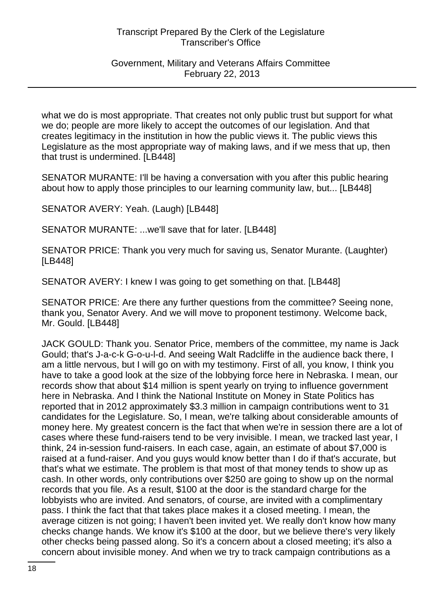## Government, Military and Veterans Affairs Committee February 22, 2013

what we do is most appropriate. That creates not only public trust but support for what we do; people are more likely to accept the outcomes of our legislation. And that creates legitimacy in the institution in how the public views it. The public views this Legislature as the most appropriate way of making laws, and if we mess that up, then that trust is undermined. [LB448]

SENATOR MURANTE: I'll be having a conversation with you after this public hearing about how to apply those principles to our learning community law, but... [LB448]

SENATOR AVERY: Yeah. (Laugh) [LB448]

SENATOR MURANTE: ...we'll save that for later. [LB448]

SENATOR PRICE: Thank you very much for saving us, Senator Murante. (Laughter) [LB448]

SENATOR AVERY: I knew I was going to get something on that. [LB448]

SENATOR PRICE: Are there any further questions from the committee? Seeing none, thank you, Senator Avery. And we will move to proponent testimony. Welcome back, Mr. Gould. [LB448]

JACK GOULD: Thank you. Senator Price, members of the committee, my name is Jack Gould; that's J-a-c-k G-o-u-l-d. And seeing Walt Radcliffe in the audience back there, I am a little nervous, but I will go on with my testimony. First of all, you know, I think you have to take a good look at the size of the lobbying force here in Nebraska. I mean, our records show that about \$14 million is spent yearly on trying to influence government here in Nebraska. And I think the National Institute on Money in State Politics has reported that in 2012 approximately \$3.3 million in campaign contributions went to 31 candidates for the Legislature. So, I mean, we're talking about considerable amounts of money here. My greatest concern is the fact that when we're in session there are a lot of cases where these fund-raisers tend to be very invisible. I mean, we tracked last year, I think, 24 in-session fund-raisers. In each case, again, an estimate of about \$7,000 is raised at a fund-raiser. And you guys would know better than I do if that's accurate, but that's what we estimate. The problem is that most of that money tends to show up as cash. In other words, only contributions over \$250 are going to show up on the normal records that you file. As a result, \$100 at the door is the standard charge for the lobbyists who are invited. And senators, of course, are invited with a complimentary pass. I think the fact that that takes place makes it a closed meeting. I mean, the average citizen is not going; I haven't been invited yet. We really don't know how many checks change hands. We know it's \$100 at the door, but we believe there's very likely other checks being passed along. So it's a concern about a closed meeting; it's also a concern about invisible money. And when we try to track campaign contributions as a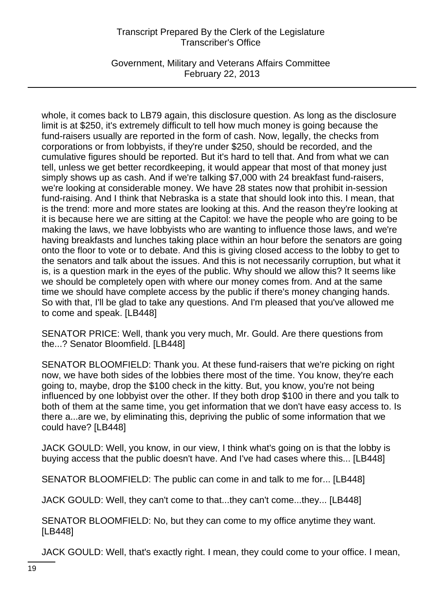Government, Military and Veterans Affairs Committee February 22, 2013

whole, it comes back to LB79 again, this disclosure question. As long as the disclosure limit is at \$250, it's extremely difficult to tell how much money is going because the fund-raisers usually are reported in the form of cash. Now, legally, the checks from corporations or from lobbyists, if they're under \$250, should be recorded, and the cumulative figures should be reported. But it's hard to tell that. And from what we can tell, unless we get better recordkeeping, it would appear that most of that money just simply shows up as cash. And if we're talking \$7,000 with 24 breakfast fund-raisers, we're looking at considerable money. We have 28 states now that prohibit in-session fund-raising. And I think that Nebraska is a state that should look into this. I mean, that is the trend: more and more states are looking at this. And the reason they're looking at it is because here we are sitting at the Capitol: we have the people who are going to be making the laws, we have lobbyists who are wanting to influence those laws, and we're having breakfasts and lunches taking place within an hour before the senators are going onto the floor to vote or to debate. And this is giving closed access to the lobby to get to the senators and talk about the issues. And this is not necessarily corruption, but what it is, is a question mark in the eyes of the public. Why should we allow this? It seems like we should be completely open with where our money comes from. And at the same time we should have complete access by the public if there's money changing hands. So with that, I'll be glad to take any questions. And I'm pleased that you've allowed me to come and speak. [LB448]

SENATOR PRICE: Well, thank you very much, Mr. Gould. Are there questions from the...? Senator Bloomfield. [LB448]

SENATOR BLOOMFIELD: Thank you. At these fund-raisers that we're picking on right now, we have both sides of the lobbies there most of the time. You know, they're each going to, maybe, drop the \$100 check in the kitty. But, you know, you're not being influenced by one lobbyist over the other. If they both drop \$100 in there and you talk to both of them at the same time, you get information that we don't have easy access to. Is there a...are we, by eliminating this, depriving the public of some information that we could have? [LB448]

JACK GOULD: Well, you know, in our view, I think what's going on is that the lobby is buying access that the public doesn't have. And I've had cases where this... [LB448]

SENATOR BLOOMFIELD: The public can come in and talk to me for... [LB448]

JACK GOULD: Well, they can't come to that...they can't come...they... [LB448]

SENATOR BLOOMFIELD: No, but they can come to my office anytime they want. [LB448]

JACK GOULD: Well, that's exactly right. I mean, they could come to your office. I mean,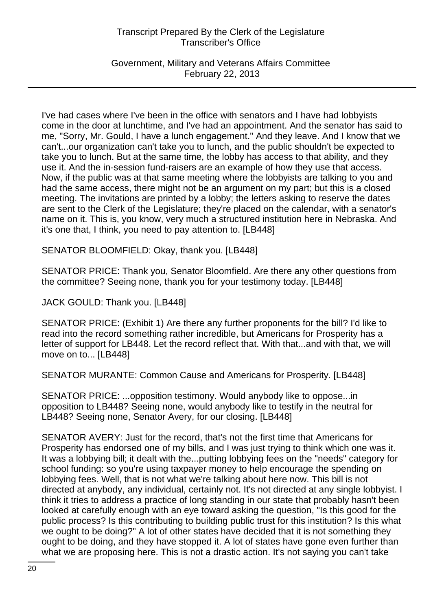Government, Military and Veterans Affairs Committee February 22, 2013

I've had cases where I've been in the office with senators and I have had lobbyists come in the door at lunchtime, and I've had an appointment. And the senator has said to me, "Sorry, Mr. Gould, I have a lunch engagement." And they leave. And I know that we can't...our organization can't take you to lunch, and the public shouldn't be expected to take you to lunch. But at the same time, the lobby has access to that ability, and they use it. And the in-session fund-raisers are an example of how they use that access. Now, if the public was at that same meeting where the lobbyists are talking to you and had the same access, there might not be an argument on my part; but this is a closed meeting. The invitations are printed by a lobby; the letters asking to reserve the dates are sent to the Clerk of the Legislature; they're placed on the calendar, with a senator's name on it. This is, you know, very much a structured institution here in Nebraska. And it's one that, I think, you need to pay attention to. [LB448]

SENATOR BLOOMFIELD: Okay, thank you. [LB448]

SENATOR PRICE: Thank you, Senator Bloomfield. Are there any other questions from the committee? Seeing none, thank you for your testimony today. [LB448]

JACK GOULD: Thank you. [LB448]

SENATOR PRICE: (Exhibit 1) Are there any further proponents for the bill? I'd like to read into the record something rather incredible, but Americans for Prosperity has a letter of support for LB448. Let the record reflect that. With that...and with that, we will move on to... [LB448]

SENATOR MURANTE: Common Cause and Americans for Prosperity. [LB448]

SENATOR PRICE: ...opposition testimony. Would anybody like to oppose...in opposition to LB448? Seeing none, would anybody like to testify in the neutral for LB448? Seeing none, Senator Avery, for our closing. [LB448]

SENATOR AVERY: Just for the record, that's not the first time that Americans for Prosperity has endorsed one of my bills, and I was just trying to think which one was it. It was a lobbying bill; it dealt with the...putting lobbying fees on the "needs" category for school funding: so you're using taxpayer money to help encourage the spending on lobbying fees. Well, that is not what we're talking about here now. This bill is not directed at anybody, any individual, certainly not. It's not directed at any single lobbyist. I think it tries to address a practice of long standing in our state that probably hasn't been looked at carefully enough with an eye toward asking the question, "Is this good for the public process? Is this contributing to building public trust for this institution? Is this what we ought to be doing?" A lot of other states have decided that it is not something they ought to be doing, and they have stopped it. A lot of states have gone even further than what we are proposing here. This is not a drastic action. It's not saying you can't take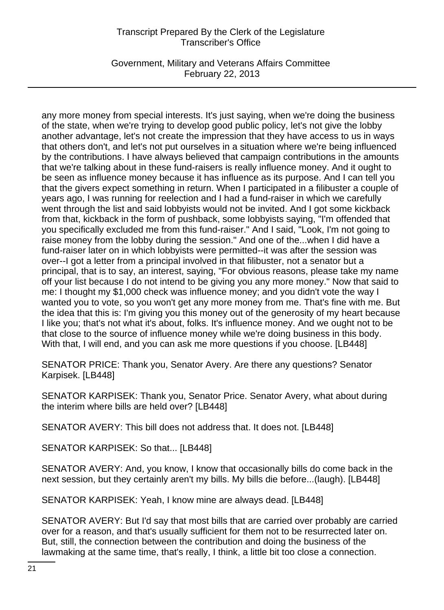Government, Military and Veterans Affairs Committee February 22, 2013

any more money from special interests. It's just saying, when we're doing the business of the state, when we're trying to develop good public policy, let's not give the lobby another advantage, let's not create the impression that they have access to us in ways that others don't, and let's not put ourselves in a situation where we're being influenced by the contributions. I have always believed that campaign contributions in the amounts that we're talking about in these fund-raisers is really influence money. And it ought to be seen as influence money because it has influence as its purpose. And I can tell you that the givers expect something in return. When I participated in a filibuster a couple of years ago, I was running for reelection and I had a fund-raiser in which we carefully went through the list and said lobbyists would not be invited. And I got some kickback from that, kickback in the form of pushback, some lobbyists saying, "I'm offended that you specifically excluded me from this fund-raiser." And I said, "Look, I'm not going to raise money from the lobby during the session." And one of the...when I did have a fund-raiser later on in which lobbyists were permitted--it was after the session was over--I got a letter from a principal involved in that filibuster, not a senator but a principal, that is to say, an interest, saying, "For obvious reasons, please take my name off your list because I do not intend to be giving you any more money." Now that said to me: I thought my \$1,000 check was influence money; and you didn't vote the way I wanted you to vote, so you won't get any more money from me. That's fine with me. But the idea that this is: I'm giving you this money out of the generosity of my heart because I like you; that's not what it's about, folks. It's influence money. And we ought not to be that close to the source of influence money while we're doing business in this body. With that, I will end, and you can ask me more questions if you choose. [LB448]

SENATOR PRICE: Thank you, Senator Avery. Are there any questions? Senator Karpisek. [LB448]

SENATOR KARPISEK: Thank you, Senator Price. Senator Avery, what about during the interim where bills are held over? [LB448]

SENATOR AVERY: This bill does not address that. It does not. [LB448]

SENATOR KARPISEK: So that... [LB448]

SENATOR AVERY: And, you know, I know that occasionally bills do come back in the next session, but they certainly aren't my bills. My bills die before...(laugh). [LB448]

SENATOR KARPISEK: Yeah, I know mine are always dead. [LB448]

SENATOR AVERY: But I'd say that most bills that are carried over probably are carried over for a reason, and that's usually sufficient for them not to be resurrected later on. But, still, the connection between the contribution and doing the business of the lawmaking at the same time, that's really, I think, a little bit too close a connection.